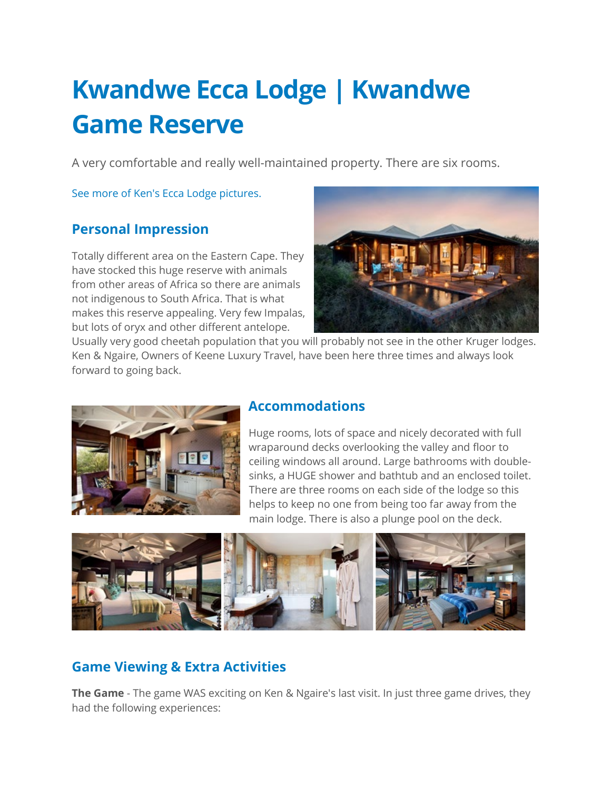# **Kwandwe Ecca Lodge | Kwandwe Game Reserve**

A very comfortable and really well-maintained property. There are six rooms.

[See more of Ken's Ecca Lodge pictures.](https://ngaire.smugmug.com/AFRICA/South-Africa-Game-Lodges/Kwandwe-Ecca-Lodge/)

## **Personal Impression**

Totally different area on the Eastern Cape. They have stocked this huge reserve with animals from other areas of Africa so there are animals not indigenous to South Africa. That is what makes this reserve appealing. Very few Impalas, but lots of oryx and other different antelope.



Usually very good cheetah population that you will probably not see in the other Kruger lodges. Ken & Ngaire, Owners of Keene Luxury Travel, have been here three times and always look forward to going back.



#### **Accommodations**

Huge rooms, lots of space and nicely decorated with full wraparound decks overlooking the valley and floor to ceiling windows all around. Large bathrooms with doublesinks, a HUGE shower and bathtub and an enclosed toilet. There are three rooms on each side of the lodge so this helps to keep no one from being too far away from the main lodge. There is also a plunge pool on the deck.



## **Game Viewing & Extra Activities**

**The Game** - The game WAS exciting on Ken & Ngaire's last visit. In just three game drives, they had the following experiences: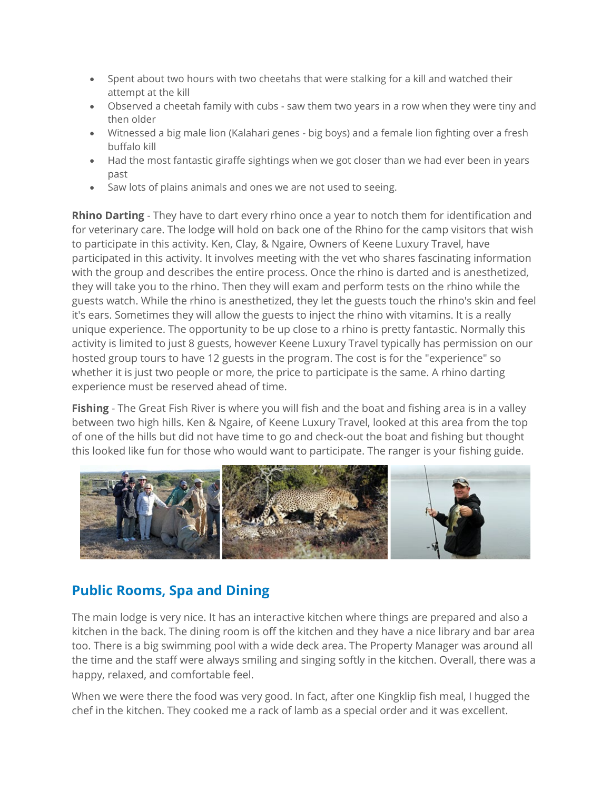- Spent about two hours with two cheetahs that were stalking for a kill and watched their attempt at the kill
- Observed a cheetah family with cubs saw them two years in a row when they were tiny and then older
- Witnessed a big male lion (Kalahari genes big boys) and a female lion fighting over a fresh buffalo kill
- Had the most fantastic giraffe sightings when we got closer than we had ever been in years past
- Saw lots of plains animals and ones we are not used to seeing.

**Rhino Darting** - They have to dart every rhino once a year to notch them for identification and for veterinary care. The lodge will hold on back one of the Rhino for the camp visitors that wish to participate in this activity. Ken, Clay, & Ngaire, Owners of Keene Luxury Travel, have participated in this activity. It involves meeting with the vet who shares fascinating information with the group and describes the entire process. Once the rhino is darted and is anesthetized, they will take you to the rhino. Then they will exam and perform tests on the rhino while the guests watch. While the rhino is anesthetized, they let the guests touch the rhino's skin and feel it's ears. Sometimes they will allow the guests to inject the rhino with vitamins. It is a really unique experience. The opportunity to be up close to a rhino is pretty fantastic. Normally this activity is limited to just 8 guests, however Keene Luxury Travel typically has permission on our hosted group tours to have 12 guests in the program. The cost is for the "experience" so whether it is just two people or more, the price to participate is the same. A rhino darting experience must be reserved ahead of time.

**Fishing** - The Great Fish River is where you will fish and the boat and fishing area is in a valley between two high hills. Ken & Ngaire, of Keene Luxury Travel, looked at this area from the top of one of the hills but did not have time to go and check-out the boat and fishing but thought this looked like fun for those who would want to participate. The ranger is your fishing guide.



# **Public Rooms, Spa and Dining**

The main lodge is very nice. It has an interactive kitchen where things are prepared and also a kitchen in the back. The dining room is off the kitchen and they have a nice library and bar area too. There is a big swimming pool with a wide deck area. The Property Manager was around all the time and the staff were always smiling and singing softly in the kitchen. Overall, there was a happy, relaxed, and comfortable feel.

When we were there the food was very good. In fact, after one Kingklip fish meal, I hugged the chef in the kitchen. They cooked me a rack of lamb as a special order and it was excellent.